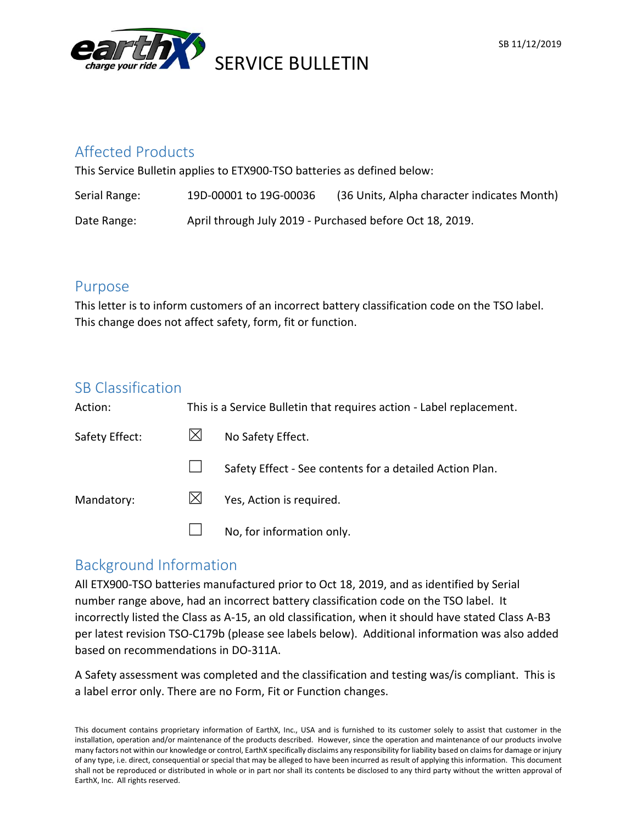

## Affected Products

This Service Bulletin applies to ETX900-TSO batteries as defined below:

| Serial Range: | 19D-00001 to 19G-00036                                   | (36 Units, Alpha character indicates Month) |
|---------------|----------------------------------------------------------|---------------------------------------------|
| Date Range:   | April through July 2019 - Purchased before Oct 18, 2019. |                                             |

## Purpose

This letter is to inform customers of an incorrect battery classification code on the TSO label. This change does not affect safety, form, fit or function.

## SB Classification

| Action:        | This is a Service Bulletin that requires action - Label replacement. |                                                          |
|----------------|----------------------------------------------------------------------|----------------------------------------------------------|
| Safety Effect: |                                                                      | No Safety Effect.                                        |
|                |                                                                      | Safety Effect - See contents for a detailed Action Plan. |
| Mandatory:     |                                                                      | Yes, Action is required.                                 |
|                |                                                                      | No, for information only.                                |

# Background Information

All ETX900-TSO batteries manufactured prior to Oct 18, 2019, and as identified by Serial number range above, had an incorrect battery classification code on the TSO label. It incorrectly listed the Class as A-15, an old classification, when it should have stated Class A-B3 per latest revision TSO-C179b (please see labels below). Additional information was also added based on recommendations in DO-311A.

A Safety assessment was completed and the classification and testing was/is compliant. This is a label error only. There are no Form, Fit or Function changes.

This document contains proprietary information of EarthX, Inc., USA and is furnished to its customer solely to assist that customer in the installation, operation and/or maintenance of the products described. However, since the operation and maintenance of our products involve many factors not within our knowledge or control, EarthX specifically disclaims any responsibility for liability based on claims for damage or injury of any type, i.e. direct, consequential or special that may be alleged to have been incurred as result of applying this information. This document shall not be reproduced or distributed in whole or in part nor shall its contents be disclosed to any third party without the written approval of EarthX, Inc. All rights reserved.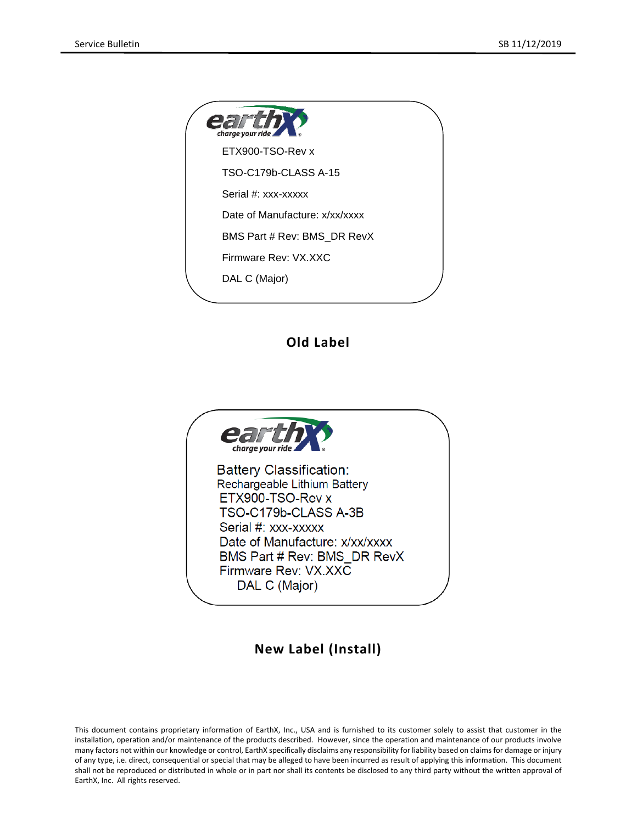| <b>earthy</b>                  |  |
|--------------------------------|--|
| ETX900-TSO-Rev x               |  |
| TSO-C179b-CLASS A-15           |  |
| Serial #: xxx-xxxxx            |  |
| Date of Manufacture: x/xx/xxxx |  |
| BMS Part # Rev: BMS DR RevX    |  |
| Firmware Rev: VX.XXC           |  |
| DAL C (Major)                  |  |
|                                |  |

#### **Old Label**



#### **New Label (Install)**

This document contains proprietary information of EarthX, Inc., USA and is furnished to its customer solely to assist that customer in the installation, operation and/or maintenance of the products described. However, since the operation and maintenance of our products involve many factors not within our knowledge or control, EarthX specifically disclaims any responsibility for liability based on claims for damage or injury of any type, i.e. direct, consequential or special that may be alleged to have been incurred as result of applying this information. This document shall not be reproduced or distributed in whole or in part nor shall its contents be disclosed to any third party without the written approval of EarthX, Inc. All rights reserved.